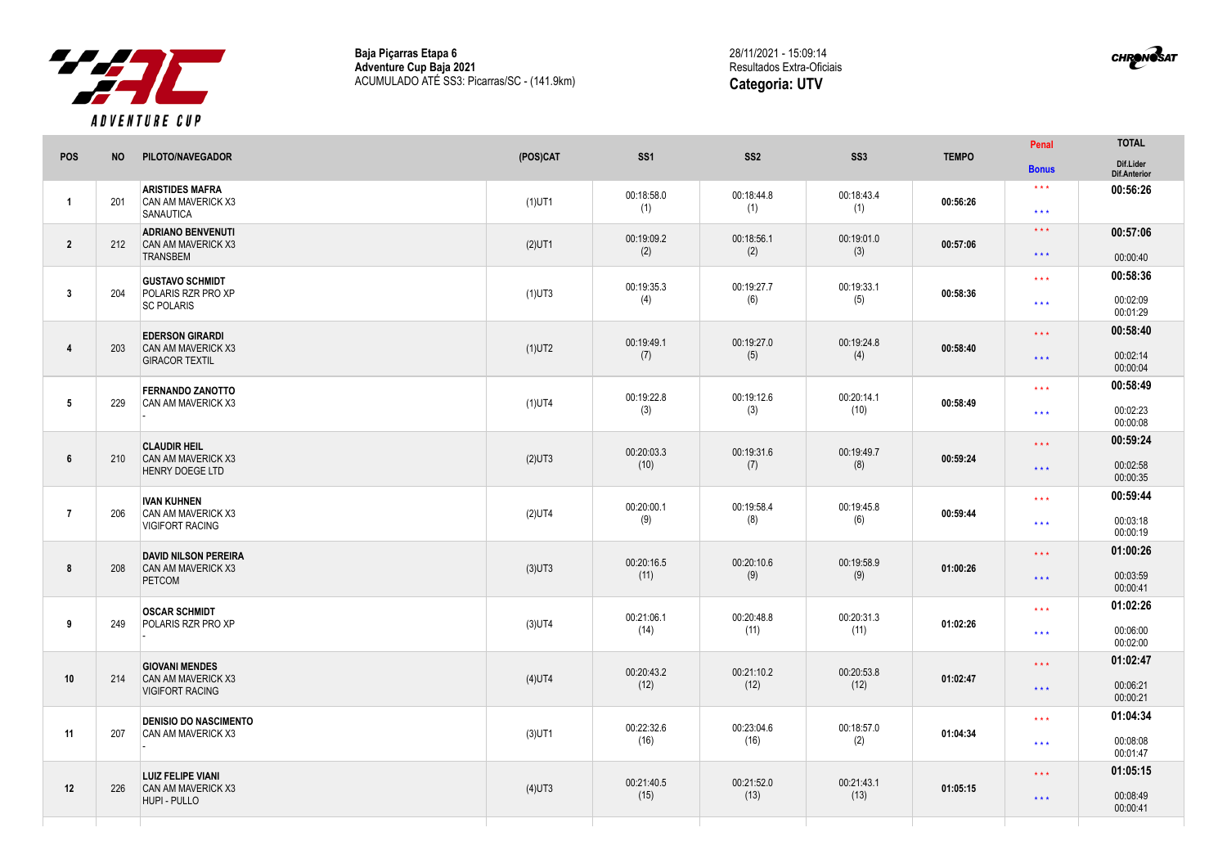

**Baja Piçarras Etapa 6 Adventure Cup Baja 2021** ACUMULADO ATÉ SS3: Picarras/SC - (141.9km) 28/11/2021 - 15:09:14 Resultados Extra-Oficiais **Categoria: UTV**

CHRONOSAT

|                 |           |                                                                              |           |                    |                    |                    |              | Penal                                              | <b>TOTAL</b>                     |
|-----------------|-----------|------------------------------------------------------------------------------|-----------|--------------------|--------------------|--------------------|--------------|----------------------------------------------------|----------------------------------|
| POS             | <b>NO</b> | PILOTO/NAVEGADOR                                                             | (POS)CAT  | SS <sub>1</sub>    | SS <sub>2</sub>    | SS <sub>3</sub>    | <b>TEMPO</b> | <b>Bonus</b>                                       | Dif.Lider<br>Dif.Anterior        |
| $\mathbf{1}$    | 201       | <b>ARISTIDES MAFRA</b><br>CAN AM MAVERICK X3<br><b>SANAUTICA</b>             | $(1)$ UT1 | 00:18:58.0<br>(1)  | 00:18:44.8<br>(1)  | 00:18:43.4<br>(1)  | 00:56:26     | $\star$ $\star$ $\star$<br>$\star\star\star$       | 00:56:26                         |
| $\overline{2}$  | 212       | <b>ADRIANO BENVENUTI</b><br>CAN AM MAVERICK X3<br><b>TRANSBEM</b>            | $(2)$ UT1 | 00:19:09.2<br>(2)  | 00:18:56.1<br>(2)  | 00:19:01.0<br>(3)  | 00:57:06     | $\star\star\star$<br>$\star\star\star$             | 00:57:06<br>00:00:40             |
| $\mathbf{3}$    | 204       | <b>GUSTAVO SCHMIDT</b><br>POLARIS RZR PRO XP<br><b>SC POLARIS</b>            | $(1)$ UT3 | 00:19:35.3<br>(4)  | 00:19:27.7<br>(6)  | 00:19:33.1<br>(5)  | 00:58:36     | $\star$ $\star$ $\star$<br>$\star$ $\star$ $\star$ | 00:58:36<br>00:02:09<br>00:01:29 |
| $\overline{4}$  | 203       | <b>EDERSON GIRARDI</b><br><b>CAN AM MAVERICK X3</b><br><b>GIRACOR TEXTIL</b> | $(1)$ UT2 | 00:19:49.1<br>(7)  | 00:19:27.0<br>(5)  | 00:19:24.8<br>(4)  | 00:58:40     | $\star\star\star$<br>$\star\star\star$             | 00:58:40<br>00:02:14<br>00:00:04 |
| 5               | 229       | <b>FERNANDO ZANOTTO</b><br>CAN AM MAVERICK X3                                | $(1)$ UT4 | 00:19:22.8<br>(3)  | 00:19:12.6<br>(3)  | 00:20:14.1<br>(10) | 00:58:49     | $\star$ $\star$ $\star$<br>$\star$ $\star$ $\star$ | 00:58:49<br>00:02:23<br>00:00:08 |
| $6\phantom{.}6$ | 210       | <b>CLAUDIR HEIL</b><br>CAN AM MAVERICK X3<br><b>HENRY DOEGE LTD</b>          | $(2)$ UT3 | 00:20:03.3<br>(10) | 00:19:31.6<br>(7)  | 00:19:49.7<br>(8)  | 00:59:24     | $\star$ $\star$ $\star$<br>$\star\star\star$       | 00:59:24<br>00:02:58<br>00:00:35 |
| $\overline{7}$  | 206       | <b>IVAN KUHNEN</b><br>CAN AM MAVERICK X3<br><b>VIGIFORT RACING</b>           | $(2)$ UT4 | 00:20:00.1<br>(9)  | 00:19:58.4<br>(8)  | 00:19:45.8<br>(6)  | 00:59:44     | $\star\star\star$<br>$\star$ $\star$ $\star$       | 00:59:44<br>00:03:18<br>00:00:19 |
| 8               | 208       | <b>DAVID NILSON PEREIRA</b><br>CAN AM MAVERICK X3<br><b>PETCOM</b>           | $(3)$ UT3 | 00:20:16.5<br>(11) | 00:20:10.6<br>(9)  | 00:19:58.9<br>(9)  | 01:00:26     | $\star$ $\star$ $\star$<br>$\star\star\star$       | 01:00:26<br>00:03:59<br>00:00:41 |
| 9               | 249       | <b>OSCAR SCHMIDT</b><br>POLARIS RZR PRO XP                                   | $(3)$ UT4 | 00:21:06.1<br>(14) | 00:20:48.8<br>(11) | 00:20:31.3<br>(11) | 01:02:26     | $\star\star\star$<br>$\star\star\star$             | 01:02:26<br>00:06:00<br>00:02:00 |
| 10              | 214       | <b>GIOVANI MENDES</b><br><b>CAN AM MAVERICK X3</b><br><b>VIGIFORT RACING</b> | $(4)$ UT4 | 00:20:43.2<br>(12) | 00:21:10.2<br>(12) | 00:20:53.8<br>(12) | 01:02:47     | $\star\star\star$<br>$\star\star\star$             | 01:02:47<br>00:06:21             |
| 11              | 207       | <b>DENISIO DO NASCIMENTO</b><br><b>CAN AM MAVERICK X3</b>                    | $(3)$ UT1 | 00:22:32.6<br>(16) | 00:23:04.6<br>(16) | 00:18:57.0<br>(2)  | 01:04:34     | $\star\star\star$<br>$\star\star\star$             | 00:00:21<br>01:04:34<br>00:08:08 |
| 12              | 226       | <b>LUIZ FELIPE VIANI</b><br>CAN AM MAVERICK X3<br>HUPI - PULLO               | $(4)$ UT3 | 00:21:40.5<br>(15) | 00:21:52.0<br>(13) | 00:21:43.1<br>(13) | 01:05:15     | $\star\star\star$<br>$\star\star\star$             | 00:01:47<br>01:05:15<br>00:08:49 |
|                 |           |                                                                              |           |                    |                    |                    |              |                                                    | 00:00:41                         |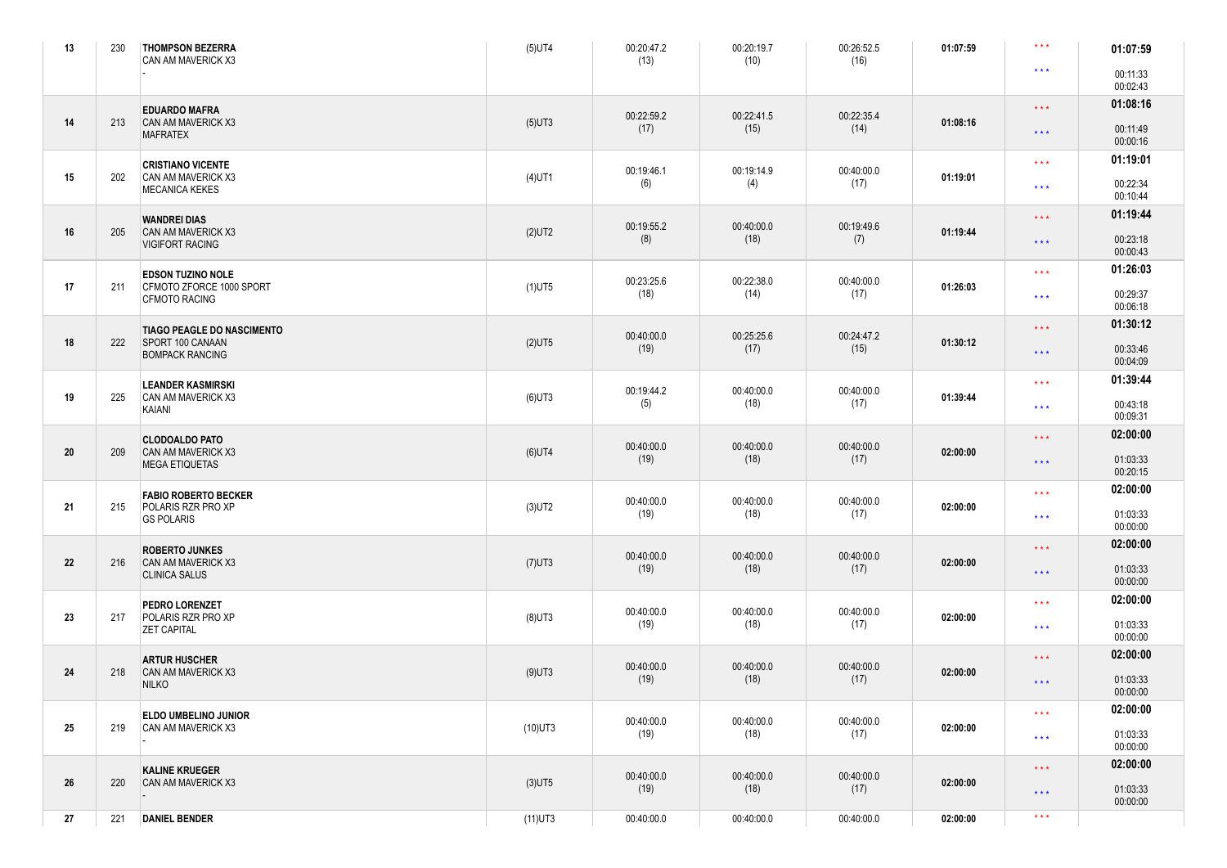| 13 | 230 | <b>THOMPSON BEZERRA</b><br>CAN AM MAVERICK X3    | $(5)$ UT4  | 00:20:47.2<br>(13)                     | 00:20:19.7<br>(10) | 00:26:52.5<br>(16) | 01:07:59 | $\star\star\star$       | 01:07:59             |
|----|-----|--------------------------------------------------|------------|----------------------------------------|--------------------|--------------------|----------|-------------------------|----------------------|
|    |     |                                                  |            |                                        |                    |                    |          | $\star\star\star$       | 00:11:33<br>00:02:43 |
|    |     | <b>EDUARDO MAFRA</b>                             |            | 00:22:59.2                             | 00:22:41.5         | 00:22:35.4         |          | $\star$ $\star$ $\star$ | 01:08:16             |
| 14 | 213 | <b>CAN AM MAVERICK X3</b><br><b>MAFRATEX</b>     | $(5)$ UT3  | (17)                                   | (15)               | (14)               | 01:08:16 | $\star\star\star$       | 00:11:49<br>00:00:16 |
|    |     | <b>CRISTIANO VICENTE</b>                         |            | 00:19:46.1                             | 00:19:14.9         | 00:40:00.0         |          | $\star\star\star$       | 01:19:01             |
| 15 | 202 | CAN AM MAVERICK X3<br><b>MECANICA KEKES</b>      | $(4)$ UT1  | (6)                                    | (4)                | (17)               | 01:19:01 | $\star\star\star$       | 00:22:34<br>00:10:44 |
|    |     | <b>WANDREI DIAS</b>                              |            | 00:19:55.2                             | 00:40:00.0         | 00:19:49.6         |          | $\star$ $\star$ $\star$ | 01:19:44             |
| 16 | 205 | CAN AM MAVERICK X3<br><b>VIGIFORT RACING</b>     | $(2)$ UT2  | (8)                                    | (18)               | (7)                | 01:19:44 | $\star\star\star$       | 00:23:18<br>00:00:43 |
|    |     | <b>EDSON TUZINO NOLE</b>                         |            | 00:23:25.6                             | 00:22:38.0         | 00:40:00.0         |          | $\star\star\star$       | 01:26:03             |
| 17 | 211 | CFMOTO ZFORCE 1000 SPORT<br><b>CFMOTO RACING</b> | $(1)$ UT5  | (18)                                   | (14)               | (17)               | 01:26:03 | $\star\star\star$       | 00:29:37<br>00:06:18 |
|    |     | <b>TIAGO PEAGLE DO NASCIMENTO</b>                |            | 00:40:00.0                             | 00:25:25.6         | 00:24:47.2         |          | $\star\star\star$       | 01:30:12             |
| 18 | 222 | SPORT 100 CANAAN<br><b>BOMPACK RANCING</b>       | $(2)$ UT5  | (19)                                   | (17)               | (15)               | 01:30:12 | $\star\star\star$       | 00:33:46<br>00:04:09 |
|    |     | <b>LEANDER KASMIRSKI</b>                         |            | 00:19:44.2                             | 00:40:00.0         | 00:40:00.0         |          | $\star\star\star$       | 01:39:44             |
| 19 | 225 | CAN AM MAVERICK X3<br>KAIANI                     | $(6)$ UT3  | (5)                                    | (18)               | (17)               | 01:39:44 | $\star\star\star$       | 00:43:18<br>00:09:31 |
|    |     | <b>CLODOALDO PATO</b>                            |            | 00:40:00.0                             | 00:40:00.0         | 00:40:00.0         |          | $\star$ $\star$ $\star$ | 02:00:00             |
| 20 | 209 | CAN AM MAVERICK X3<br><b>MEGA ETIQUETAS</b>      | $(6)$ UT4  | (19)                                   | (18)               | (17)               | 02:00:00 | $\star\star\star$       | 01:03:33<br>00:20:15 |
|    |     | <b>FABIO ROBERTO BECKER</b>                      |            | 00:40:00.0                             | 00:40:00.0         | 00:40:00.0         |          | $\star\star\star$       | 02:00:00             |
| 21 | 215 | POLARIS RZR PRO XP<br><b>GS POLARIS</b>          | $(3)$ UT2  | (19)                                   | (18)               | (17)               | 02:00:00 | $\star\star\star$       | 01:03:33<br>00:00:00 |
|    |     | <b>ROBERTO JUNKES</b>                            |            | 00:40:00.0                             | 00:40:00.0         | 00:40:00.0         |          | $\star$ $\star$ $\star$ | 02:00:00             |
| 22 | 216 | CAN AM MAVERICK X3<br><b>CLINICA SALUS</b>       | $(7)$ UT3  | (19)                                   | (18)               | (17)               | 02:00:00 | $\star\star\star$       | 01:03:33<br>00:00:00 |
|    |     | PEDRO LORENZET                                   |            | 00:40:00.0                             | 00:40:00.0         | 00:40:00.0         |          | $\star$ $\star$ $\star$ | 02:00:00             |
| 23 | 217 | POLARIS RZR PRO XP<br><b>ZET CAPITAL</b>         | $(8)$ UT3  | (19)                                   | (18)               | (17)               | 02:00:00 | $\star\star\star$       | 01:03:33<br>00:00:00 |
|    |     | <b>ARTUR HUSCHER</b>                             |            | 00:40:00.0<br>00:40:00.0<br>00:40:00.0 |                    | $\star\star\star$  | 02:00:00 |                         |                      |
| 24 | 218 | <b>CAN AM MAVERICK X3</b><br><b>NILKO</b>        | $(9)$ UT3  | (19)                                   | (18)               | (17)               | 02:00:00 | $\star\star\star$       | 01:03:33<br>00:00:00 |
|    |     | ELDO UMBELINO JUNIOR                             |            | 00:40:00.0                             | 00:40:00.0         | 00:40:00.0         |          | $\star$ $\star$ $\star$ | 02:00:00             |
| 25 | 219 | CAN AM MAVERICK X3                               | $(10)$ UT3 | (19)                                   | (18)               | (17)               | 02:00:00 | $\star\star\star$       | 01:03:33<br>00:00:00 |
|    |     | <b>KALINE KRUEGER</b>                            |            | 00:40:00.0                             | 00:40:00.0         | 00:40:00.0         |          | $\star\star\star$       | 02:00:00             |
| 26 | 220 | <b>CAN AM MAVERICK X3</b>                        | $(3)$ UT5  | (19)                                   | (18)               | (17)               | 02:00:00 | $\star\star\star$       | 01:03:33<br>00:00:00 |
| 27 | 221 | <b>DANIEL BENDER</b>                             | $(11)$ UT3 | 00:40:00.0                             | 00:40:00.0         | 00:40:00.0         | 02:00:00 | $\star\star\star$       |                      |